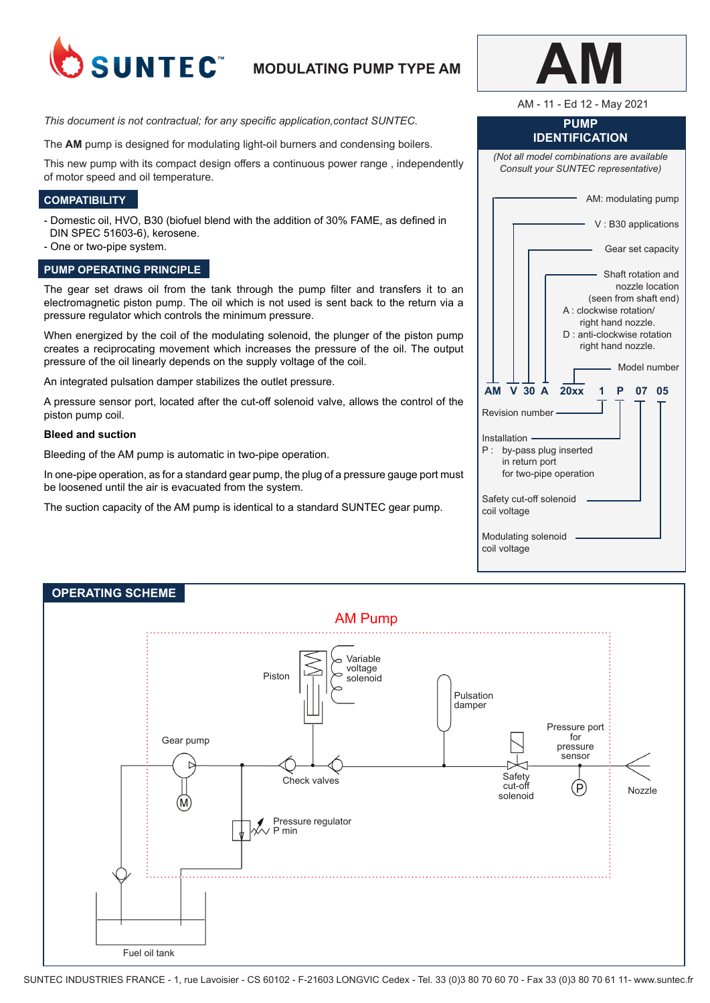

# **MODULATING PUMP TYPE AM**

*This document is not contractual; for any specific application,contact SUNTEC.*

The **AM** pump is designed for modulating light-oil burners and condensing boilers.

This new pump with its compact design offers a continuous power range , independently of motor speed and oil temperature.

## **COMPATIBILITY**

- Domestic oil, HVO, B30 (biofuel blend with the addition of 30% FAME, as defined in DIN SPEC 51603-6), kerosene.
- One or two-pipe system.

## **PUMP OPERATING PRINCIPLE**

The gear set draws oil from the tank through the pump filter and transfers it to an electromagnetic piston pump. The oil which is not used is sent back to the return via a pressure regulator which controls the minimum pressure.

When energized by the coil of the modulating solenoid, the plunger of the piston pump creates a reciprocating movement which increases the pressure of the oil. The output pressure of the oil linearly depends on the supply voltage of the coil.

An integrated pulsation damper stabilizes the outlet pressure.

A pressure sensor port, located after the cut-off solenoid valve, allows the control of the piston pump coil.

### **Bleed and suction**

Bleeding of the AM pump is automatic in two-pipe operation.

In one-pipe operation, as for a standard gear pump, the plug of a pressure gauge port must be loosened until the air is evacuated from the system.

The suction capacity of the AM pump is identical to a standard SUNTEC gear pump.

AM - 11 - Ed 12 - May 2021

## **PUMP IDENTIFICATION**

*(Not all model combinations are available Consult your SUNTEC representative)*

> V : B30 applications Gear set capacity Shaft rotation and nozzle location (seen from shaft end) A : clockwise rotation/ right hand nozzle.

AM: modulating pump

|  |  |  | D: anti-clockwise rotation |              |  |
|--|--|--|----------------------------|--------------|--|
|  |  |  | right hand nozzle.         |              |  |
|  |  |  |                            | Model number |  |

**AM V 30 A 20xx 1 P 07 05** Revision number Installation · P : by-pass plug inserted in return port for two-pipe operation Safety cut-off solenoid coil voltage

-1

Modulating solenoid coil voltage